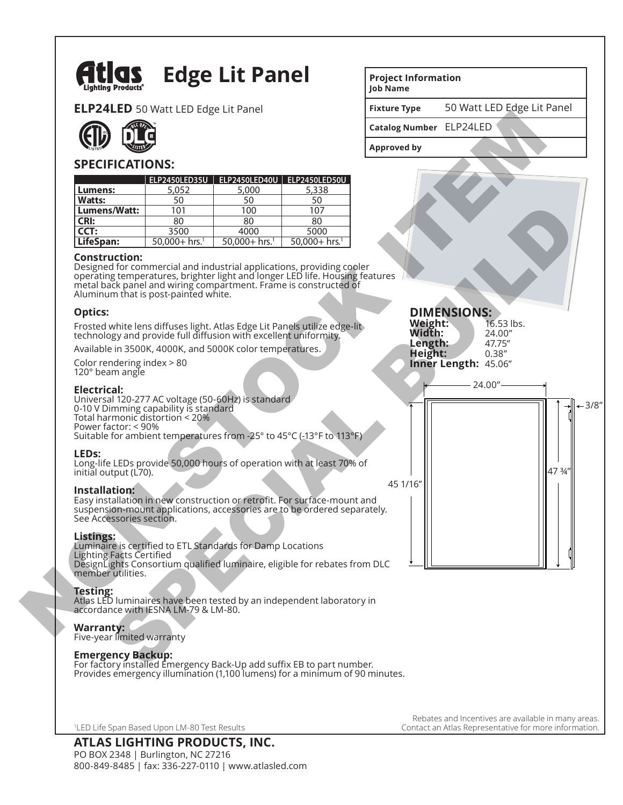

# **Edge Lit Panel**

**ELP24LED** 50 Watt LED Edge Lit Panel



# **SPECIFICATIONS:**

|                                                                                                                                                                             | <b>TLLD</b> JO WALL LLD LUGE LILT ANET |                              |                                                                                                                                                                                                                           |                         | $\frac{1}{20}$ watt $\frac{1}{20}$ $\frac{1}{20}$ $\frac{1}{20}$ $\frac{1}{20}$ $\frac{1}{20}$ $\frac{1}{20}$ |        |
|-----------------------------------------------------------------------------------------------------------------------------------------------------------------------------|----------------------------------------|------------------------------|---------------------------------------------------------------------------------------------------------------------------------------------------------------------------------------------------------------------------|-------------------------|---------------------------------------------------------------------------------------------------------------|--------|
|                                                                                                                                                                             |                                        |                              |                                                                                                                                                                                                                           | Catalog Number ELP24LED |                                                                                                               |        |
|                                                                                                                                                                             |                                        |                              | <b>Approved by</b>                                                                                                                                                                                                        |                         |                                                                                                               |        |
| <b>SPECIFICATIONS:</b>                                                                                                                                                      |                                        |                              |                                                                                                                                                                                                                           |                         |                                                                                                               |        |
|                                                                                                                                                                             |                                        |                              | ELP2450LED35U   ELP2450LED40U   ELP2450LED50U                                                                                                                                                                             |                         |                                                                                                               |        |
| Lumens:                                                                                                                                                                     | 5,052                                  | 5,000                        | 5,338                                                                                                                                                                                                                     |                         |                                                                                                               |        |
| <b>Watts:</b>                                                                                                                                                               | 50                                     | 50                           | 50                                                                                                                                                                                                                        |                         |                                                                                                               |        |
| Lumens/Watt:                                                                                                                                                                | 101                                    | 100                          | 107                                                                                                                                                                                                                       |                         |                                                                                                               |        |
| <b>CRI:</b><br>CCT:                                                                                                                                                         | 80<br>3500                             | 80<br>4000                   | 80                                                                                                                                                                                                                        |                         |                                                                                                               |        |
| LifeSpan:                                                                                                                                                                   | $50.000 + hrs.1$                       | $50,000 + hrs.$ <sup>1</sup> | 5000<br>$50.000 + hrs.$ <sup>1</sup>                                                                                                                                                                                      |                         |                                                                                                               |        |
| <b>Construction:</b><br>Aluminum that is post-painted white.                                                                                                                |                                        |                              | Designed for commercial and industrial applications, providing cooler<br>operating temperatures, brighter light and longer LED life. Housing features<br>metal back panel and wiring compartment. Frame is constructed of |                         |                                                                                                               |        |
| <b>Optics:</b>                                                                                                                                                              |                                        |                              |                                                                                                                                                                                                                           |                         | <b>DIMENSIONS:</b>                                                                                            |        |
|                                                                                                                                                                             |                                        |                              | Frosted white lens diffuses light. Atlas Edge Lit Panels utilize edge-lit                                                                                                                                                 | Weight:                 | 16.53 lbs.                                                                                                    |        |
| technology and provide full diffusion with excellent uniformity.                                                                                                            |                                        |                              |                                                                                                                                                                                                                           | Width:                  | 24.00"                                                                                                        |        |
| Available in 3500K, 4000K, and 5000K color temperatures.                                                                                                                    |                                        |                              |                                                                                                                                                                                                                           | Length:<br>Height:      | 47.75"<br>0.38''                                                                                              |        |
| Color rendering index > 80<br>120° beam angle                                                                                                                               |                                        |                              |                                                                                                                                                                                                                           |                         | Inner Length: 45.06"                                                                                          |        |
| <b>Electrical:</b><br>Universal 120-277 AC voltage (50-60Hz) is standard<br>0-10 V Dimming capability is standard<br>Total harmonic distortion < 20%<br>Power factor: < 90% |                                        |                              | Suitable for ambient temperatures from -25° to 45°C (-13°F to 113°F)                                                                                                                                                      |                         | 24.00"                                                                                                        |        |
| LED <sub>s</sub> :<br>initial output (L70).                                                                                                                                 |                                        |                              | Long-life LEDs provide 50,000 hours of operation with at least 70% of                                                                                                                                                     |                         |                                                                                                               | 47 3/4 |
| Installation:<br>See Accessories section.                                                                                                                                   |                                        |                              | Easy installation in new construction or retrofit. For surface-mount and<br>suspension-mount applications, accessories are to be ordered separately.                                                                      | 45 1/16"                |                                                                                                               |        |
| Listings:<br>Luminaire is certified to ETL Standards for Damp Locations<br><b>Lighting Facts Certified</b><br>member utilities.                                             |                                        |                              | DesignLights Consortium qualified luminaire, eligible for rebates from DLC                                                                                                                                                |                         |                                                                                                               |        |
| Testing:<br>accordance with IESNA LM-79 & LM-80.                                                                                                                            |                                        |                              | Atlas LED luminaires have been tested by an independent laboratory in                                                                                                                                                     |                         |                                                                                                               |        |
| <b>Warranty:</b><br>$\Gamma$ ivo voar limitod warranty                                                                                                                      |                                        |                              |                                                                                                                                                                                                                           |                         |                                                                                                               |        |

### **Construction:**

## **Optics:**

### **Electrical:**

Universal 120-277 AC voltage (50-60Hz) is standard 0-10 V Dimming capability is standard Total harmonic distortion < 20% Power factor: < 90% Suitable for ambient temperatures from -25° to 45°C (-13°F to 113°F) SMatter 10<br>
The same state of the commercial and industrial applications, providing coder<br>
and the commercial and industrial applications, providing coder<br>
at the commercial and industrial applications, providing coder<br>
a

### **LEDs:**

### **Installation:**

#### **Listings:**

### **Testing:**

#### **Warranty:**

Five-year limited warranty

### **Emergency Backup:**

For factory installed Emergency Back-Up add suffix EB to part number. Provides emergency illumination (1,100 lumens) for a minimum of 90 minutes.

1 LED Life Span Based Upon LM-80 Test Results

PO BOX 2348 | Burlington, NC 27216 800-849-8485 | fax: 336-227-0110 | www.atlasled.com

**Project Information Job Name**

**Fixture Type** 50 Watt LED Edge Lit Panel

3/8"

47  $\frac{3}{4}$